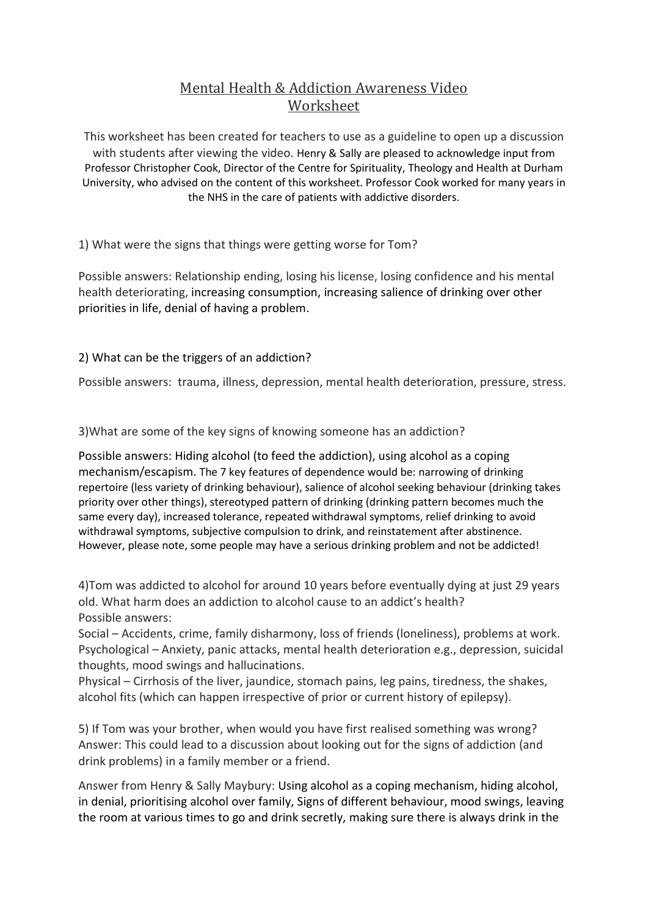## Mental Health & Addiction Awareness Video Worksheet

This worksheet has been created for teachers to use as a guideline to open up a discussion with students after viewing the video. Henry & Sally are pleased to acknowledge input from Professor Christopher Cook, Director of the Centre for Spirituality, Theology and Health at Durham University, who advised on the content of this worksheet. Professor Cook worked for many years in the NHS in the care of patients with addictive disorders.

1) What were the signs that things were getting worse for Tom?

Possible answers: Relationship ending, losing his license, losing confidence and his mental health deteriorating, increasing consumption, increasing salience of drinking over other priorities in life, denial of having a problem.

2) What can be the triggers of an addiction?

Possible answers: trauma, illness, depression, mental health deterioration, pressure, stress.

3)What are some of the key signs of knowing someone has an addiction?

Possible answers: Hiding alcohol (to feed the addiction), using alcohol as a coping mechanism/escapism. The 7 key features of dependence would be: narrowing of drinking repertoire (less variety of drinking behaviour), salience of alcohol seeking behaviour (drinking takes priority over other things), stereotyped pattern of drinking (drinking pattern becomes much the same every day), increased tolerance, repeated withdrawal symptoms, relief drinking to avoid withdrawal symptoms, subjective compulsion to drink, and reinstatement after abstinence. However, please note, some people may have a serious drinking problem and not be addicted!

4)Tom was addicted to alcohol for around 10 years before eventually dying at just 29 years old. What harm does an addiction to alcohol cause to an addict's health? Possible answers:

Social – Accidents, crime, family disharmony, loss of friends (loneliness), problems at work. Psychological – Anxiety, panic attacks, mental health deterioration e.g., depression, suicidal thoughts, mood swings and hallucinations.

Physical – Cirrhosis of the liver, jaundice, stomach pains, leg pains, tiredness, the shakes, alcohol fits (which can happen irrespective of prior or current history of epilepsy).

5) If Tom was your brother, when would you have first realised something was wrong? Answer: This could lead to a discussion about looking out for the signs of addiction (and drink problems) in a family member or a friend.

Answer from Henry & Sally Maybury: Using alcohol as a coping mechanism, hiding alcohol, in denial, prioritising alcohol over family, Signs of different behaviour, mood swings, leaving the room at various times to go and drink secretly, making sure there is always drink in the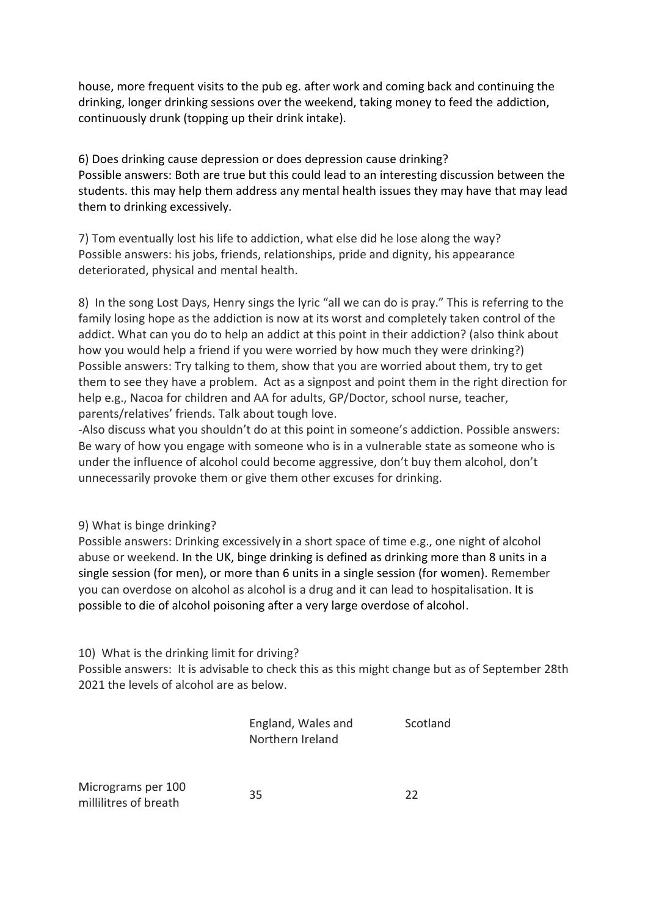house, more frequent visits to the pub eg. after work and coming back and continuing the drinking, longer drinking sessions over the weekend, taking money to feed the addiction, continuously drunk (topping up their drink intake).

6) Does drinking cause depression or does depression cause drinking? Possible answers: Both are true but this could lead to an interesting discussion between the students. this may help them address any mental health issues they may have that may lead them to drinking excessively.

7) Tom eventually lost his life to addiction, what else did he lose along the way? Possible answers: his jobs, friends, relationships, pride and dignity, his appearance deteriorated, physical and mental health.

8) In the song Lost Days, Henry sings the lyric "all we can do is pray." This is referring to the family losing hope as the addiction is now at its worst and completely taken control of the addict. What can you do to help an addict at this point in their addiction? (also think about how you would help a friend if you were worried by how much they were drinking?) Possible answers: Try talking to them, show that you are worried about them, try to get them to see they have a problem. Act as a signpost and point them in the right direction for help e.g., Nacoa for children and AA for adults, GP/Doctor, school nurse, teacher, parents/relatives' friends. Talk about tough love.

-Also discuss what you shouldn't do at this point in someone's addiction. Possible answers: Be wary of how you engage with someone who is in a vulnerable state as someone who is under the influence of alcohol could become aggressive, don't buy them alcohol, don't unnecessarily provoke them or give them other excuses for drinking.

9) What is binge drinking?

Possible answers: Drinking excessively in a short space of time e.g., one night of alcohol abuse or weekend. In the UK, binge drinking is defined as drinking more than 8 units in a single session (for men), or more than 6 units in a single session (for women). Remember you can overdose on alcohol as alcohol is a drug and it can lead to hospitalisation. It is possible to die of alcohol poisoning after a very large overdose of alcohol.

10) What is the drinking limit for driving?

Possible answers: It is advisable to check this as this might change but as of September 28th 2021 the levels of alcohol are as below.

| England, Wales and | Scotland |
|--------------------|----------|
| Northern Ireland   |          |